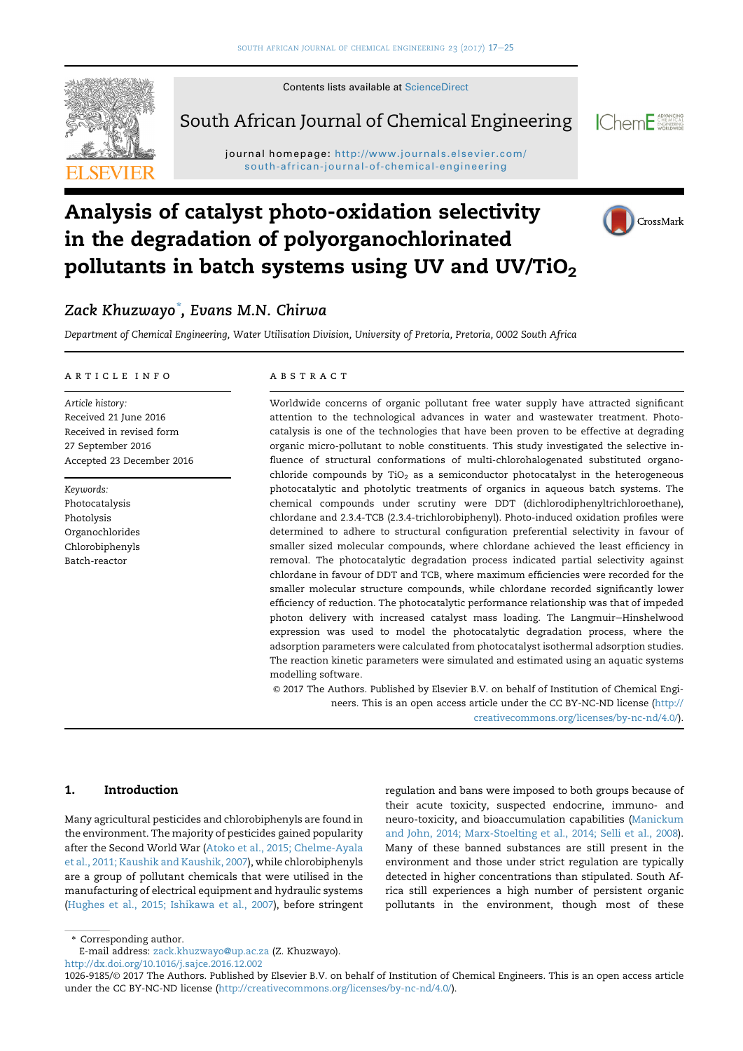

South African Journal of Chemical Engineering



CrossMark

 $j$ south-african-journal-of-chemical-engineering

# Analysis of catalyst photo-oxidation selectivity in the degradation of polyorganochlorinated pollutants in batch systems using UV and UV/TiO<sub>2</sub>



Department of Chemical Engineering, Water Utilisation Division, University of Pretoria, Pretoria, 0002 South Africa

#### article info

Article history: Received 21 June 2016 Received in revised form 27 September 2016 Accepted 23 December 2016

Keywords: Photocatalysis Photolysis Organochlorides Chlorobiphenyls Batch-reactor

#### abstract

Worldwide concerns of organic pollutant free water supply have attracted significant attention to the technological advances in water and wastewater treatment. Photocatalysis is one of the technologies that have been proven to be effective at degrading organic micro-pollutant to noble constituents. This study investigated the selective influence of structural conformations of multi-chlorohalogenated substituted organochloride compounds by TiO<sub>2</sub> as a semiconductor photocatalyst in the heterogeneous photocatalytic and photolytic treatments of organics in aqueous batch systems. The chemical compounds under scrutiny were DDT (dichlorodiphenyltrichloroethane), chlordane and 2.3.4-TCB (2.3.4-trichlorobiphenyl). Photo-induced oxidation profiles were determined to adhere to structural configuration preferential selectivity in favour of smaller sized molecular compounds, where chlordane achieved the least efficiency in removal. The photocatalytic degradation process indicated partial selectivity against chlordane in favour of DDT and TCB, where maximum efficiencies were recorded for the smaller molecular structure compounds, while chlordane recorded significantly lower efficiency of reduction. The photocatalytic performance relationship was that of impeded photon delivery with increased catalyst mass loading. The Langmuir-Hinshelwood expression was used to model the photocatalytic degradation process, where the adsorption parameters were calculated from photocatalyst isothermal adsorption studies. The reaction kinetic parameters were simulated and estimated using an aquatic systems modelling software.

© 2017 The Authors. Published by Elsevier B.V. on behalf of Institution of Chemical Engineers. This is an open access article under the CC BY-NC-ND license ([http://](http://creativecommons.org/licenses/by-nc-nd/4.0/)

[creativecommons.org/licenses/by-nc-nd/4.0/\)](http://creativecommons.org/licenses/by-nc-nd/4.0/).

## 1. Introduction

Many agricultural pesticides and chlorobiphenyls are found in the environment. The majority of pesticides gained popularity after the Second World War [\(Atoko et al., 2015; Chelme-Ayala](#page-7-0) [et al., 2011; Kaushik and Kaushik, 2007](#page-7-0)), while chlorobiphenyls are a group of pollutant chemicals that were utilised in the manufacturing of electrical equipment and hydraulic systems [\(Hughes et al., 2015; Ishikawa et al., 2007](#page-8-0)), before stringent

regulation and bans were imposed to both groups because of their acute toxicity, suspected endocrine, immuno- and neuro-toxicity, and bioaccumulation capabilities [\(Manickum](#page-8-0) [and John, 2014; Marx-Stoelting et al., 2014; Selli et al., 2008](#page-8-0)). Many of these banned substances are still present in the environment and those under strict regulation are typically detected in higher concentrations than stipulated. South Africa still experiences a high number of persistent organic pollutants in the environment, though most of these

\* Corresponding author.

E-mail address: [zack.khuzwayo@up.ac.za](mailto:zack.khuzwayo@up.ac.za) (Z. Khuzwayo).

<http://dx.doi.org/10.1016/j.sajce.2016.12.002>

<sup>1026-9185/</sup>© 2017 The Authors. Published by Elsevier B.V. on behalf of Institution of Chemical Engineers. This is an open access article under the CC BY-NC-ND license [\(http://creativecommons.org/licenses/by-nc-nd/4.0/\)](http://creativecommons.org/licenses/by-nc-nd/4.0/).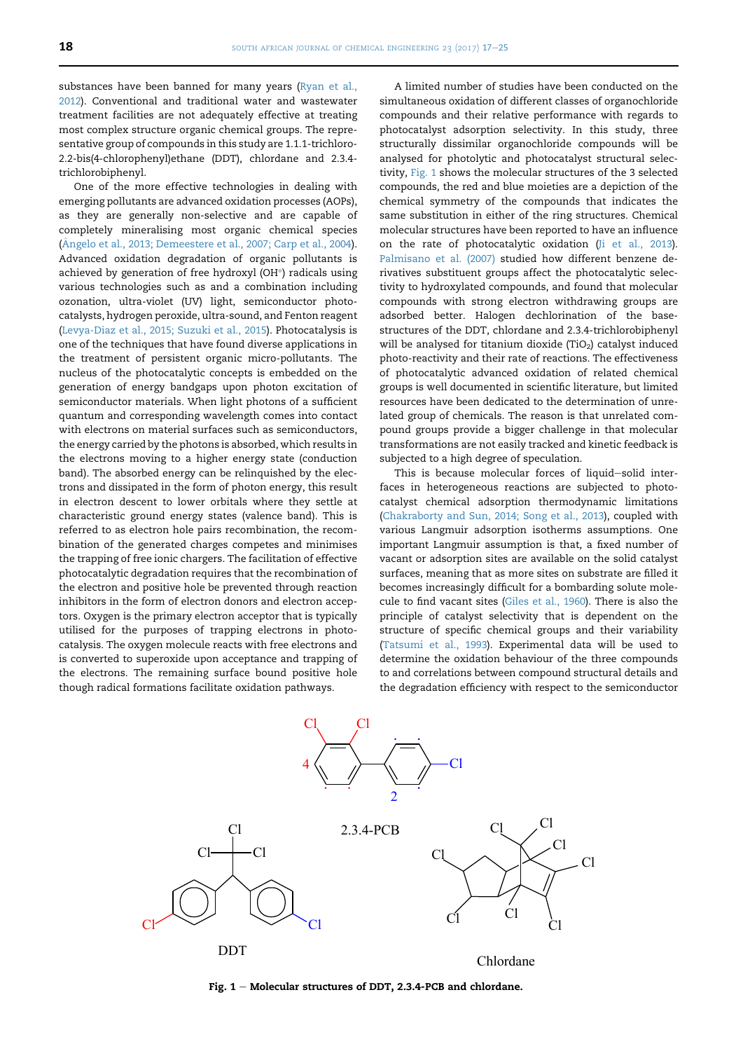<span id="page-1-0"></span>substances have been banned for many years [\(Ryan et al.,](#page-8-0) [2012\)](#page-8-0). Conventional and traditional water and wastewater treatment facilities are not adequately effective at treating most complex structure organic chemical groups. The representative group of compounds in this study are 1.1.1-trichloro-2.2-bis(4-chlorophenyl)ethane (DDT), chlordane and 2.3.4 trichlorobiphenyl.

One of the more effective technologies in dealing with emerging pollutants are advanced oxidation processes (AOPs), as they are generally non-selective and are capable of completely mineralising most organic chemical species (Â[ngelo et al., 2013; Demeestere et al., 2007; Carp et al., 2004](#page-7-0)). Advanced oxidation degradation of organic pollutants is achieved by generation of free hydroxyl (OH $\degree$ ) radicals using various technologies such as and a combination including ozonation, ultra-violet (UV) light, semiconductor photocatalysts, hydrogen peroxide, ultra-sound, and Fenton reagent ([Levya-Diaz et al., 2015; Suzuki et al., 2015\)](#page-8-0). Photocatalysis is one of the techniques that have found diverse applications in the treatment of persistent organic micro-pollutants. The nucleus of the photocatalytic concepts is embedded on the generation of energy bandgaps upon photon excitation of semiconductor materials. When light photons of a sufficient quantum and corresponding wavelength comes into contact with electrons on material surfaces such as semiconductors, the energy carried by the photons is absorbed, which results in the electrons moving to a higher energy state (conduction band). The absorbed energy can be relinquished by the electrons and dissipated in the form of photon energy, this result in electron descent to lower orbitals where they settle at characteristic ground energy states (valence band). This is referred to as electron hole pairs recombination, the recombination of the generated charges competes and minimises the trapping of free ionic chargers. The facilitation of effective photocatalytic degradation requires that the recombination of the electron and positive hole be prevented through reaction inhibitors in the form of electron donors and electron acceptors. Oxygen is the primary electron acceptor that is typically utilised for the purposes of trapping electrons in photocatalysis. The oxygen molecule reacts with free electrons and is converted to superoxide upon acceptance and trapping of the electrons. The remaining surface bound positive hole though radical formations facilitate oxidation pathways.

A limited number of studies have been conducted on the simultaneous oxidation of different classes of organochloride compounds and their relative performance with regards to photocatalyst adsorption selectivity. In this study, three structurally dissimilar organochloride compounds will be analysed for photolytic and photocatalyst structural selectivity, Fig. 1 shows the molecular structures of the 3 selected compounds, the red and blue moieties are a depiction of the chemical symmetry of the compounds that indicates the same substitution in either of the ring structures. Chemical molecular structures have been reported to have an influence on the rate of photocatalytic oxidation ([Ji et al., 2013\)](#page-8-0). [Palmisano et al. \(2007\)](#page-8-0) studied how different benzene derivatives substituent groups affect the photocatalytic selectivity to hydroxylated compounds, and found that molecular compounds with strong electron withdrawing groups are adsorbed better. Halogen dechlorination of the basestructures of the DDT, chlordane and 2.3.4-trichlorobiphenyl will be analysed for titanium dioxide (TiO $_2$ ) catalyst induced photo-reactivity and their rate of reactions. The effectiveness of photocatalytic advanced oxidation of related chemical groups is well documented in scientific literature, but limited resources have been dedicated to the determination of unrelated group of chemicals. The reason is that unrelated compound groups provide a bigger challenge in that molecular transformations are not easily tracked and kinetic feedback is subjected to a high degree of speculation.

This is because molecular forces of liquid-solid interfaces in heterogeneous reactions are subjected to photocatalyst chemical adsorption thermodynamic limitations ([Chakraborty and Sun, 2014; Song et al., 2013](#page-7-0)), coupled with various Langmuir adsorption isotherms assumptions. One important Langmuir assumption is that, a fixed number of vacant or adsorption sites are available on the solid catalyst surfaces, meaning that as more sites on substrate are filled it becomes increasingly difficult for a bombarding solute molecule to find vacant sites ([Giles et al., 1960](#page-7-0)). There is also the principle of catalyst selectivity that is dependent on the structure of specific chemical groups and their variability ([Tatsumi et al., 1993](#page-8-0)). Experimental data will be used to determine the oxidation behaviour of the three compounds to and correlations between compound structural details and the degradation efficiency with respect to the semiconductor



Fig.  $1$  – Molecular structures of DDT, 2.3.4-PCB and chlordane.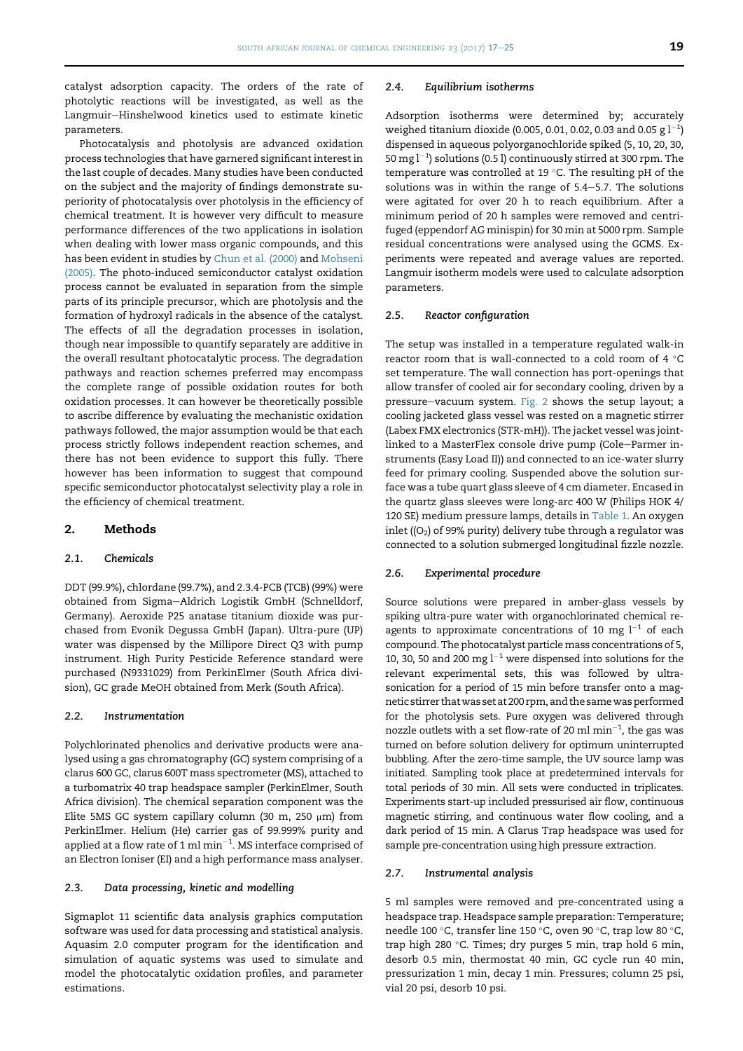catalyst adsorption capacity. The orders of the rate of photolytic reactions will be investigated, as well as the Langmuir-Hinshelwood kinetics used to estimate kinetic parameters.

Photocatalysis and photolysis are advanced oxidation process technologies that have garnered significant interest in the last couple of decades. Many studies have been conducted on the subject and the majority of findings demonstrate superiority of photocatalysis over photolysis in the efficiency of chemical treatment. It is however very difficult to measure performance differences of the two applications in isolation when dealing with lower mass organic compounds, and this has been evident in studies by [Chun et al. \(2000\)](#page-7-0) and [Mohseni](#page-8-0) [\(2005\)](#page-8-0). The photo-induced semiconductor catalyst oxidation process cannot be evaluated in separation from the simple parts of its principle precursor, which are photolysis and the formation of hydroxyl radicals in the absence of the catalyst. The effects of all the degradation processes in isolation, though near impossible to quantify separately are additive in the overall resultant photocatalytic process. The degradation pathways and reaction schemes preferred may encompass the complete range of possible oxidation routes for both oxidation processes. It can however be theoretically possible to ascribe difference by evaluating the mechanistic oxidation pathways followed, the major assumption would be that each process strictly follows independent reaction schemes, and there has not been evidence to support this fully. There however has been information to suggest that compound specific semiconductor photocatalyst selectivity play a role in the efficiency of chemical treatment.

## 2. Methods

#### 2.1. Chemicals

DDT (99.9%), chlordane (99.7%), and 2.3.4-PCB (TCB) (99%) were obtained from Sigma-Aldrich Logistik GmbH (Schnelldorf, Germany). Aeroxide P25 anatase titanium dioxide was purchased from Evonik Degussa GmbH (Japan). Ultra-pure (UP) water was dispensed by the Millipore Direct Q3 with pump instrument. High Purity Pesticide Reference standard were purchased (N9331029) from PerkinElmer (South Africa division), GC grade MeOH obtained from Merk (South Africa).

#### 2.2. Instrumentation

Polychlorinated phenolics and derivative products were analysed using a gas chromatography (GC) system comprising of a clarus 600 GC, clarus 600T mass spectrometer (MS), attached to a turbomatrix 40 trap headspace sampler (PerkinElmer, South Africa division). The chemical separation component was the Elite 5MS GC system capillary column (30 m, 250  $\mu$ m) from PerkinElmer. Helium (He) carrier gas of 99.999% purity and applied at a flow rate of 1 ml  $\mathrm{min}^{-1}$ . MS interface comprised of an Electron Ioniser (EI) and a high performance mass analyser.

## 2.3. Data processing, kinetic and modelling

Sigmaplot 11 scientific data analysis graphics computation software was used for data processing and statistical analysis. Aquasim 2.0 computer program for the identification and simulation of aquatic systems was used to simulate and model the photocatalytic oxidation profiles, and parameter estimations.

#### 2.4. Equilibrium isotherms

Adsorption isotherms were determined by; accurately weighed titanium dioxide (0.005, 0.01, 0.02, 0.03 and 0.05 g  $\rm l^{-1}$ ) dispensed in aqueous polyorganochloride spiked (5, 10, 20, 30, 50 mg l $^{-1}$ ) solutions (0.5 l) continuously stirred at 300 rpm. The temperature was controlled at 19  $^{\circ}$ C. The resulting pH of the solutions was in within the range of  $5.4-5.7$ . The solutions were agitated for over 20 h to reach equilibrium. After a minimum period of 20 h samples were removed and centrifuged (eppendorf AG minispin) for 30 min at 5000 rpm. Sample residual concentrations were analysed using the GCMS. Experiments were repeated and average values are reported. Langmuir isotherm models were used to calculate adsorption parameters.

#### 2.5. Reactor configuration

The setup was installed in a temperature regulated walk-in reactor room that is wall-connected to a cold room of 4  $\degree$ C set temperature. The wall connection has port-openings that allow transfer of cooled air for secondary cooling, driven by a pressure-vacuum system. [Fig. 2](#page-3-0) shows the setup layout; a cooling jacketed glass vessel was rested on a magnetic stirrer (Labex FMX electronics (STR-mH)). The jacket vessel was jointlinked to a MasterFlex console drive pump (Cole-Parmer instruments (Easy Load II)) and connected to an ice-water slurry feed for primary cooling. Suspended above the solution surface was a tube quart glass sleeve of 4 cm diameter. Encased in the quartz glass sleeves were long-arc 400 W (Philips HOK 4/ 120 SE) medium pressure lamps, details in [Table 1](#page-3-0). An oxygen inlet ( $(O<sub>2</sub>)$  of 99% purity) delivery tube through a regulator was connected to a solution submerged longitudinal fizzle nozzle.

#### 2.6. Experimental procedure

Source solutions were prepared in amber-glass vessels by spiking ultra-pure water with organochlorinated chemical reagents to approximate concentrations of 10 mg  $l^{-1}$  of each compound. The photocatalyst particle mass concentrations of 5, 10, 30, 50 and 200 mg  $l^{-1}$  were dispensed into solutions for the relevant experimental sets, this was followed by ultrasonication for a period of 15 min before transfer onto a magnetic stirrer thatwas set at 200 rpm, and the samewas performed for the photolysis sets. Pure oxygen was delivered through nozzle outlets with a set flow-rate of 20 ml  $\mathrm{min}^{-1},$  the gas was turned on before solution delivery for optimum uninterrupted bubbling. After the zero-time sample, the UV source lamp was initiated. Sampling took place at predetermined intervals for total periods of 30 min. All sets were conducted in triplicates. Experiments start-up included pressurised air flow, continuous magnetic stirring, and continuous water flow cooling, and a dark period of 15 min. A Clarus Trap headspace was used for sample pre-concentration using high pressure extraction.

## 2.7. Instrumental analysis

5 ml samples were removed and pre-concentrated using a headspace trap. Headspace sample preparation: Temperature; needle 100 °C, transfer line 150 °C, oven 90 °C, trap low 80 °C, trap high 280 $\degree$ C. Times; dry purges 5 min, trap hold 6 min, desorb 0.5 min, thermostat 40 min, GC cycle run 40 min, pressurization 1 min, decay 1 min. Pressures; column 25 psi, vial 20 psi, desorb 10 psi.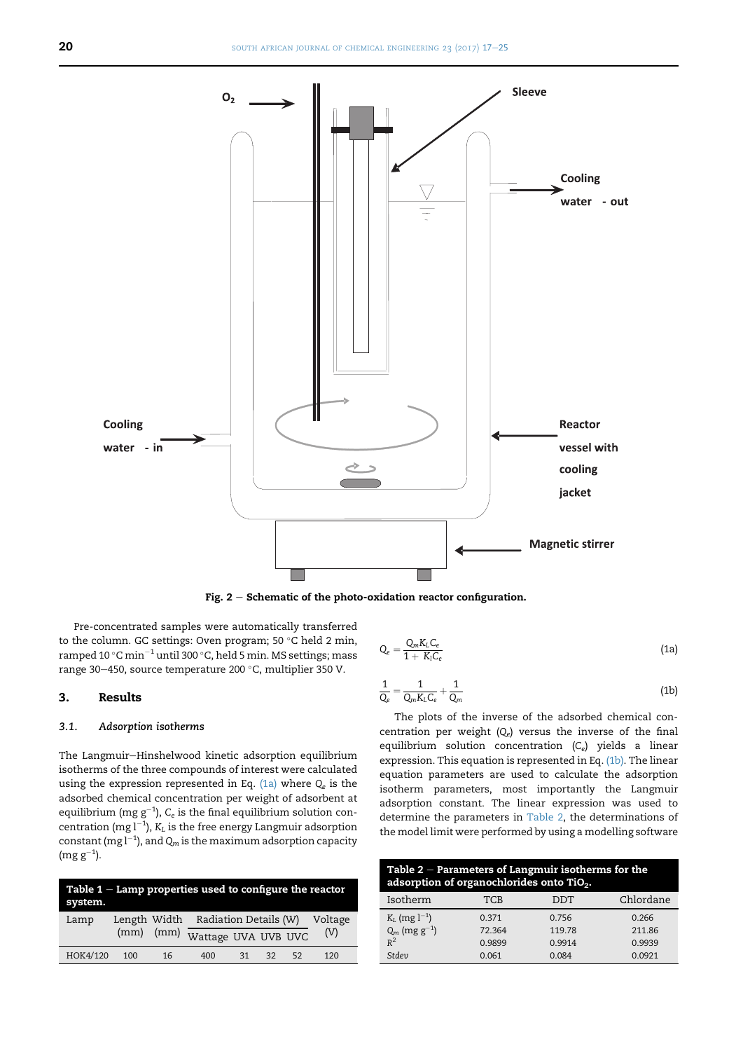<span id="page-3-0"></span>

Fig.  $2$  – Schematic of the photo-oxidation reactor configuration.

Pre-concentrated samples were automatically transferred to the column. GC settings: Oven program; 50  $\degree$ C held 2 min, ramped 10 °C min<sup>-1</sup> until 300 °C, held 5 min. MS settings; mass range 30-450, source temperature 200 °C, multiplier 350 V.

## 3. Results

## 3.1. Adsorption isotherms

The Langmuir-Hinshelwood kinetic adsorption equilibrium isotherms of the three compounds of interest were calculated using the expression represented in Eq. (1a) where  $Q_e$  is the adsorbed chemical concentration per weight of adsorbent at equilibrium (mg  $\rm g^{-1}$ ),  $C_e$  is the final equilibrium solution concentration (mg  $l^{-1}$ ),  $K_L$  is the free energy Langmuir adsorption constant (mg  $l^{-1}$ ), and  $\mathsf{Q}_m$  is the maximum adsorption capacity  $(mg g^{-1}).$ 

| Table $1$ – Lamp properties used to configure the reactor<br>system. |               |    |                                    |    |    |    |         |
|----------------------------------------------------------------------|---------------|----|------------------------------------|----|----|----|---------|
| Lamp                                                                 |               |    | Length Width Radiation Details (W) |    |    |    | Voltage |
|                                                                      | $(mm)$ $(mm)$ |    | Wattage UVA UVB UVC                |    |    |    | (V)     |
| HOK4/120                                                             | 100           | 16 | 400                                | 31 | 32 | 52 | 120     |

$$
Q_e = \frac{Q_m K_L C_e}{1 + K_l C_e} \tag{1a}
$$

$$
\frac{1}{Q_e} = \frac{1}{Q_m K_L C_e} + \frac{1}{Q_m} \tag{1b}
$$

The plots of the inverse of the adsorbed chemical concentration per weight  $(Q_e)$  versus the inverse of the final equilibrium solution concentration  $(C_e)$  yields a linear expression. This equation is represented in Eq. (1b). The linear equation parameters are used to calculate the adsorption isotherm parameters, most importantly the Langmuir adsorption constant. The linear expression was used to determine the parameters in Table 2, the determinations of the model limit were performed by using a modelling software

| Table $2$ – Parameters of Langmuir isotherms for the<br>adsorption of organochlorides onto TiO2. |        |        |           |  |
|--------------------------------------------------------------------------------------------------|--------|--------|-----------|--|
| Isotherm                                                                                         | TCB    | DDT    | Chlordane |  |
| $K_L$ (mg $l^{-1}$ )                                                                             | 0.371  | 0.756  | 0.266     |  |
| $Q_m$ (mg $g^{-1}$ )                                                                             | 72.364 | 119.78 | 211.86    |  |
| $R^2$                                                                                            | 0.9899 | 0.9914 | 0.9939    |  |
| Stdev                                                                                            | 0.061  | 0.084  | 0.0921    |  |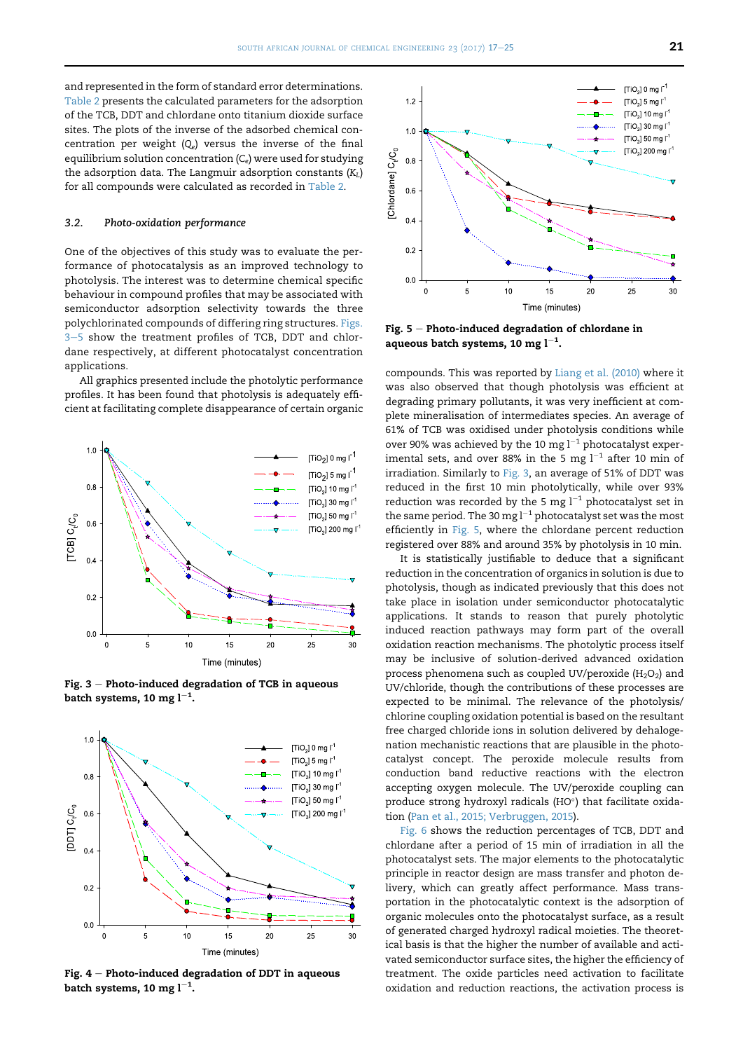and represented in the form of standard error determinations. [Table 2](#page-3-0) presents the calculated parameters for the adsorption of the TCB, DDT and chlordane onto titanium dioxide surface sites. The plots of the inverse of the adsorbed chemical concentration per weight  $(Q_e)$  versus the inverse of the final equilibrium solution concentration  $(C_e)$  were used for studying the adsorption data. The Langmuir adsorption constants  $(K_L)$ for all compounds were calculated as recorded in [Table 2](#page-3-0).

#### 3.2. Photo-oxidation performance

One of the objectives of this study was to evaluate the performance of photocatalysis as an improved technology to photolysis. The interest was to determine chemical specific behaviour in compound profiles that may be associated with semiconductor adsorption selectivity towards the three polychlorinated compounds of differing ring structures. Figs. 3-5 show the treatment profiles of TCB, DDT and chlordane respectively, at different photocatalyst concentration applications.

All graphics presented include the photolytic performance profiles. It has been found that photolysis is adequately efficient at facilitating complete disappearance of certain organic



Fig.  $3$  – Photo-induced degradation of TCB in aqueous batch systems, 10 mg l $^{-1}\!.$ 



Fig.  $4$  – Photo-induced degradation of DDT in aqueous batch systems, 10 mg l $^{-1}\!.$ 



Fig.  $5$  – Photo-induced degradation of chlordane in aqueous batch systems, 10 mg  $\mathsf{l}^{-1}.$ 

compounds. This was reported by [Liang et al. \(2010\)](#page-8-0) where it was also observed that though photolysis was efficient at degrading primary pollutants, it was very inefficient at complete mineralisation of intermediates species. An average of 61% of TCB was oxidised under photolysis conditions while over 90% was achieved by the 10 mg  $l^{-1}$  photocatalyst experimental sets, and over 88% in the 5 mg  $l^{-1}$  after 10 min of irradiation. Similarly to Fig. 3, an average of 51% of DDT was reduced in the first 10 min photolytically, while over 93% reduction was recorded by the 5 mg  $l^{-1}$  photocatalyst set in the same period. The 30 mg  $l^{-1}$  photocatalyst set was the most efficiently in Fig. 5, where the chlordane percent reduction registered over 88% and around 35% by photolysis in 10 min.

It is statistically justifiable to deduce that a significant reduction in the concentration of organics in solution is due to photolysis, though as indicated previously that this does not take place in isolation under semiconductor photocatalytic applications. It stands to reason that purely photolytic induced reaction pathways may form part of the overall oxidation reaction mechanisms. The photolytic process itself may be inclusive of solution-derived advanced oxidation process phenomena such as coupled UV/peroxide ( $H_2O_2$ ) and UV/chloride, though the contributions of these processes are expected to be minimal. The relevance of the photolysis/ chlorine coupling oxidation potential is based on the resultant free charged chloride ions in solution delivered by dehalogenation mechanistic reactions that are plausible in the photocatalyst concept. The peroxide molecule results from conduction band reductive reactions with the electron accepting oxygen molecule. The UV/peroxide coupling can produce strong hydroxyl radicals (HO $\degree$ ) that facilitate oxidation [\(Pan et al., 2015; Verbruggen, 2015](#page-8-0)).

[Fig. 6](#page-5-0) shows the reduction percentages of TCB, DDT and chlordane after a period of 15 min of irradiation in all the photocatalyst sets. The major elements to the photocatalytic principle in reactor design are mass transfer and photon delivery, which can greatly affect performance. Mass transportation in the photocatalytic context is the adsorption of organic molecules onto the photocatalyst surface, as a result of generated charged hydroxyl radical moieties. The theoretical basis is that the higher the number of available and activated semiconductor surface sites, the higher the efficiency of treatment. The oxide particles need activation to facilitate oxidation and reduction reactions, the activation process is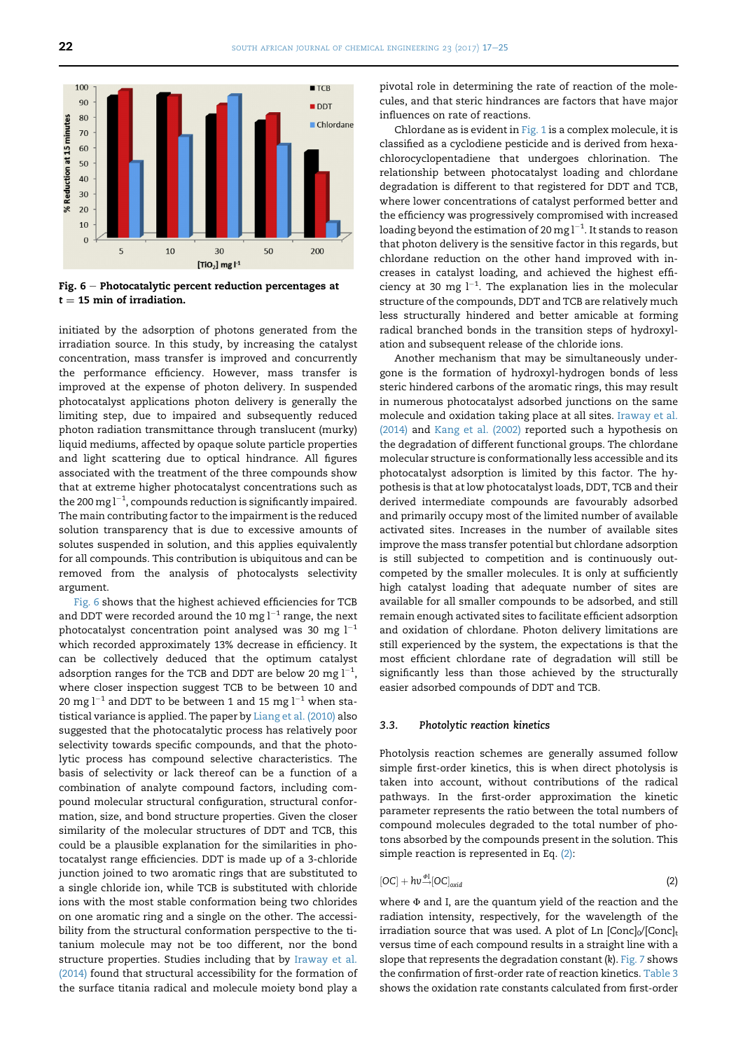<span id="page-5-0"></span>

Fig.  $6$  – Photocatalytic percent reduction percentages at  $t - 15$  min of irradiation.

initiated by the adsorption of photons generated from the irradiation source. In this study, by increasing the catalyst concentration, mass transfer is improved and concurrently the performance efficiency. However, mass transfer is improved at the expense of photon delivery. In suspended photocatalyst applications photon delivery is generally the limiting step, due to impaired and subsequently reduced photon radiation transmittance through translucent (murky) liquid mediums, affected by opaque solute particle properties and light scattering due to optical hindrance. All figures associated with the treatment of the three compounds show that at extreme higher photocatalyst concentrations such as the 200 mg  $l^{-1}$ , compounds reduction is significantly impaired. The main contributing factor to the impairment is the reduced solution transparency that is due to excessive amounts of solutes suspended in solution, and this applies equivalently for all compounds. This contribution is ubiquitous and can be removed from the analysis of photocalysts selectivity argument.

Fig. 6 shows that the highest achieved efficiencies for TCB and DDT were recorded around the 10 mg  $l^{-1}$  range, the next photocatalyst concentration point analysed was 30 mg  $l^{-1}$ which recorded approximately 13% decrease in efficiency. It can be collectively deduced that the optimum catalyst adsorption ranges for the TCB and DDT are below 20 mg  $l^{-1}$ , where closer inspection suggest TCB to be between 10 and 20 mg  $l^{-1}$  and DDT to be between 1 and 15 mg  $l^{-1}$  when statistical variance is applied. The paper by [Liang et al. \(2010\)](#page-8-0) also suggested that the photocatalytic process has relatively poor selectivity towards specific compounds, and that the photolytic process has compound selective characteristics. The basis of selectivity or lack thereof can be a function of a combination of analyte compound factors, including compound molecular structural configuration, structural conformation, size, and bond structure properties. Given the closer similarity of the molecular structures of DDT and TCB, this could be a plausible explanation for the similarities in photocatalyst range efficiencies. DDT is made up of a 3-chloride junction joined to two aromatic rings that are substituted to a single chloride ion, while TCB is substituted with chloride ions with the most stable conformation being two chlorides on one aromatic ring and a single on the other. The accessibility from the structural conformation perspective to the titanium molecule may not be too different, nor the bond structure properties. Studies including that by [Iraway et al.](#page-8-0) [\(2014\)](#page-8-0) found that structural accessibility for the formation of the surface titania radical and molecule moiety bond play a

pivotal role in determining the rate of reaction of the molecules, and that steric hindrances are factors that have major influences on rate of reactions.

Chlordane as is evident in [Fig. 1](#page-1-0) is a complex molecule, it is classified as a cyclodiene pesticide and is derived from hexachlorocyclopentadiene that undergoes chlorination. The relationship between photocatalyst loading and chlordane degradation is different to that registered for DDT and TCB, where lower concentrations of catalyst performed better and the efficiency was progressively compromised with increased loading beyond the estimation of 20 mg  $l^{-1}$ . It stands to reason that photon delivery is the sensitive factor in this regards, but chlordane reduction on the other hand improved with increases in catalyst loading, and achieved the highest efficiency at 30 mg  $l^{-1}$ . The explanation lies in the molecular structure of the compounds, DDT and TCB are relatively much less structurally hindered and better amicable at forming radical branched bonds in the transition steps of hydroxylation and subsequent release of the chloride ions.

Another mechanism that may be simultaneously undergone is the formation of hydroxyl-hydrogen bonds of less steric hindered carbons of the aromatic rings, this may result in numerous photocatalyst adsorbed junctions on the same molecule and oxidation taking place at all sites. [Iraway et al.](#page-8-0) [\(2014\)](#page-8-0) and [Kang et al. \(2002\)](#page-8-0) reported such a hypothesis on the degradation of different functional groups. The chlordane molecular structure is conformationally less accessible and its photocatalyst adsorption is limited by this factor. The hypothesis is that at low photocatalyst loads, DDT, TCB and their derived intermediate compounds are favourably adsorbed and primarily occupy most of the limited number of available activated sites. Increases in the number of available sites improve the mass transfer potential but chlordane adsorption is still subjected to competition and is continuously outcompeted by the smaller molecules. It is only at sufficiently high catalyst loading that adequate number of sites are available for all smaller compounds to be adsorbed, and still remain enough activated sites to facilitate efficient adsorption and oxidation of chlordane. Photon delivery limitations are still experienced by the system, the expectations is that the most efficient chlordane rate of degradation will still be significantly less than those achieved by the structurally easier adsorbed compounds of DDT and TCB.

#### 3.3. Photolytic reaction kinetics

Photolysis reaction schemes are generally assumed follow simple first-order kinetics, this is when direct photolysis is taken into account, without contributions of the radical pathways. In the first-order approximation the kinetic parameter represents the ratio between the total numbers of compound molecules degraded to the total number of photons absorbed by the compounds present in the solution. This simple reaction is represented in Eq. (2):

$$
[OC] + hv^{\phi I} [OC]_{\alpha xid} \tag{2}
$$

where  $\Phi$  and I, are the quantum yield of the reaction and the radiation intensity, respectively, for the wavelength of the irradiation source that was used. A plot of Ln  $[Conc]_0/[Conc]_t$ versus time of each compound results in a straight line with a slope that represents the degradation constant (k). [Fig. 7](#page-6-0) shows the confirmation of first-order rate of reaction kinetics. [Table 3](#page-6-0) shows the oxidation rate constants calculated from first-order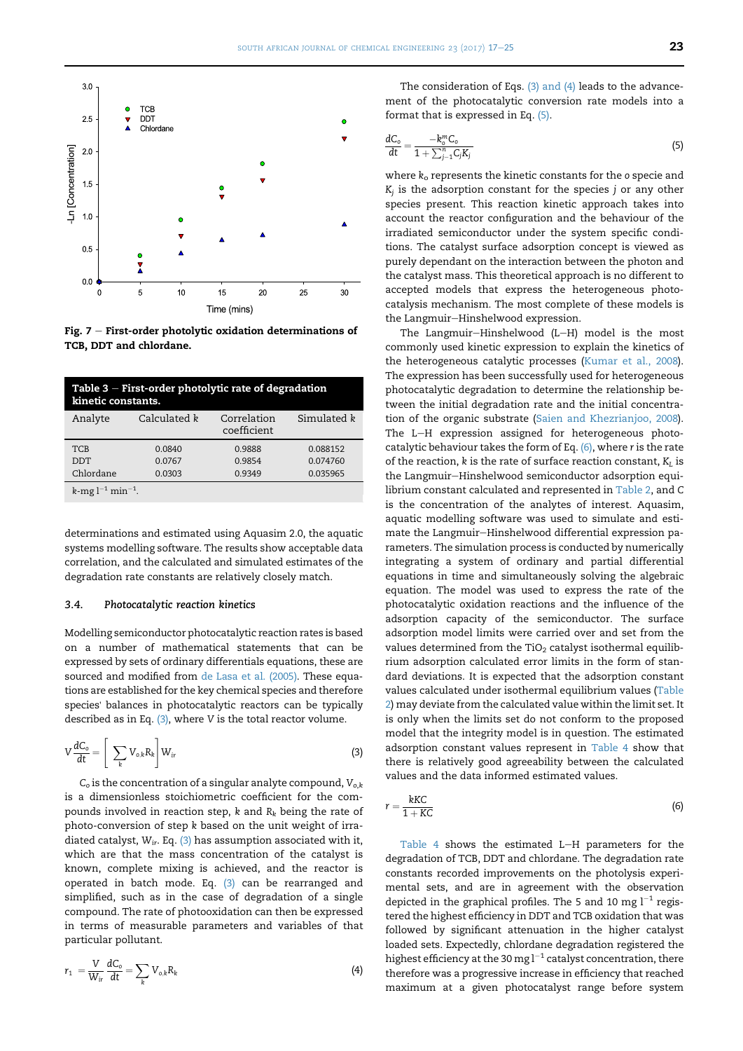<span id="page-6-0"></span>

Fig.  $7$  – First-order photolytic oxidation determinations of TCB, DDT and chlordane.

| Table $3$ – First-order photolytic rate of degradation<br>kinetic constants. |                  |                            |                      |  |
|------------------------------------------------------------------------------|------------------|----------------------------|----------------------|--|
| Analyte                                                                      | Calculated k     | Correlation<br>coefficient | Simulated k          |  |
| <b>TCB</b><br><b>DDT</b>                                                     | 0.0840<br>0.0767 | 0.9888<br>0.9854           | 0.088152<br>0.074760 |  |
| Chlordane                                                                    | 0.0303           | 0.9349                     | 0.035965             |  |
| $k$ -mg $l^{-1}$ min <sup>-1</sup> .                                         |                  |                            |                      |  |

determinations and estimated using Aquasim 2.0, the aquatic systems modelling software. The results show acceptable data correlation, and the calculated and simulated estimates of the degradation rate constants are relatively closely match.

#### 3.4. Photocatalytic reaction kinetics

Modelling semiconductor photocatalytic reaction rates is based on a number of mathematical statements that can be expressed by sets of ordinary differentials equations, these are sourced and modified from [de Lasa et al. \(2005\).](#page-8-0) These equations are established for the key chemical species and therefore species' balances in photocatalytic reactors can be typically described as in Eq.  $(3)$ , where V is the total reactor volume.

$$
V\frac{dC_o}{dt} = \left[\sum_k V_{o,k}R_k\right]W_{ir}
$$
\n(3)

 $C<sub>o</sub>$  is the concentration of a singular analyte compound,  $V<sub>o,k</sub>$ is a dimensionless stoichiometric coefficient for the compounds involved in reaction step, k and  $R_k$  being the rate of photo-conversion of step k based on the unit weight of irradiated catalyst,  $W_{ir}$ . Eq. (3) has assumption associated with it, which are that the mass concentration of the catalyst is known, complete mixing is achieved, and the reactor is operated in batch mode. Eq. (3) can be rearranged and simplified, such as in the case of degradation of a single compound. The rate of photooxidation can then be expressed in terms of measurable parameters and variables of that particular pollutant.

$$
r_1 = \frac{V}{W_{ir}} \frac{dC_o}{dt} = \sum_k V_{o,k} R_k \tag{4}
$$

The consideration of Eqs. (3) and (4) leads to the advancement of the photocatalytic conversion rate models into a format that is expressed in Eq. (5).

$$
\frac{dC_o}{dt} = \frac{-k_o^m C_o}{1 + \sum_{j=1}^n C_j K_j}
$$
\n(5)

where  $k_0$  represents the kinetic constants for the  $o$  specie and  $K_i$  is the adsorption constant for the species j or any other species present. This reaction kinetic approach takes into account the reactor configuration and the behaviour of the irradiated semiconductor under the system specific conditions. The catalyst surface adsorption concept is viewed as purely dependant on the interaction between the photon and the catalyst mass. This theoretical approach is no different to accepted models that express the heterogeneous photocatalysis mechanism. The most complete of these models is the Langmuir-Hinshelwood expression.

The Langmuir-Hinshelwood  $(L-H)$  model is the most commonly used kinetic expression to explain the kinetics of the heterogeneous catalytic processes [\(Kumar et al., 2008](#page-8-0)). The expression has been successfully used for heterogeneous photocatalytic degradation to determine the relationship between the initial degradation rate and the initial concentration of the organic substrate ([Saien and Khezrianjoo, 2008](#page-8-0)). The L-H expression assigned for heterogeneous photocatalytic behaviour takes the form of Eq.  $(6)$ , where r is the rate of the reaction,  $k$  is the rate of surface reaction constant,  $K_L$  is the Langmuir-Hinshelwood semiconductor adsorption equilibrium constant calculated and represented in [Table 2,](#page-3-0) and C is the concentration of the analytes of interest. Aquasim, aquatic modelling software was used to simulate and estimate the Langmuir-Hinshelwood differential expression parameters. The simulation process is conducted by numerically integrating a system of ordinary and partial differential equations in time and simultaneously solving the algebraic equation. The model was used to express the rate of the photocatalytic oxidation reactions and the influence of the adsorption capacity of the semiconductor. The surface adsorption model limits were carried over and set from the values determined from the TiO<sub>2</sub> catalyst isothermal equilibrium adsorption calculated error limits in the form of standard deviations. It is expected that the adsorption constant values calculated under isothermal equilibrium values ([Table](#page-3-0) [2](#page-3-0)) may deviate from the calculated value within the limit set. It is only when the limits set do not conform to the proposed model that the integrity model is in question. The estimated adsorption constant values represent in [Table 4](#page-7-0) show that there is relatively good agreeability between the calculated values and the data informed estimated values.

$$
r = \frac{kKC}{1+KC} \tag{6}
$$

[Table 4](#page-7-0) shows the estimated L-H parameters for the degradation of TCB, DDT and chlordane. The degradation rate constants recorded improvements on the photolysis experimental sets, and are in agreement with the observation depicted in the graphical profiles. The 5 and 10 mg  $l^{-1}$  registered the highest efficiency in DDT and TCB oxidation that was followed by significant attenuation in the higher catalyst loaded sets. Expectedly, chlordane degradation registered the highest efficiency at the 30 mg  $l^{-1}$  catalyst concentration, there therefore was a progressive increase in efficiency that reached maximum at a given photocatalyst range before system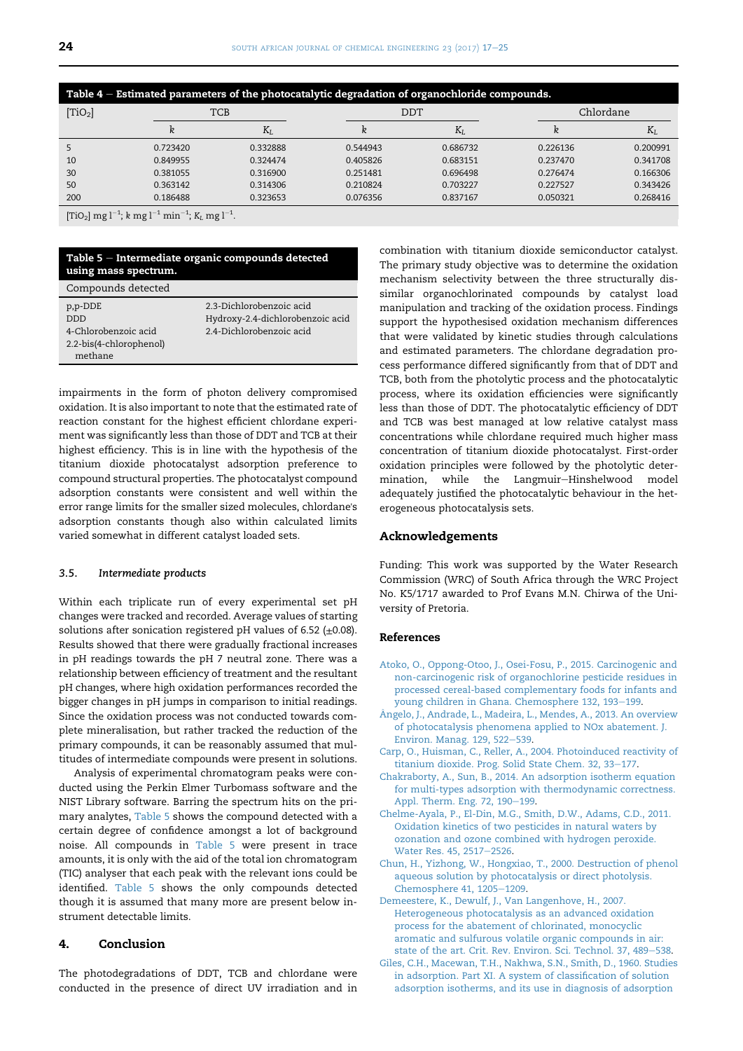<span id="page-7-0"></span>

| Table 4 - Estimated parameters of the photocatalytic degradation of organochloride compounds. |          |            |          |            |          |           |  |
|-----------------------------------------------------------------------------------------------|----------|------------|----------|------------|----------|-----------|--|
| [TiO <sub>2</sub> ]                                                                           |          | <b>TCB</b> |          | <b>DDT</b> |          | Chlordane |  |
|                                                                                               | k        | $K_I$      |          | $K_I$      | ĸ        | $K_{L}$   |  |
|                                                                                               | 0.723420 | 0.332888   | 0.544943 | 0.686732   | 0.226136 | 0.200991  |  |
| 10                                                                                            | 0.849955 | 0.324474   | 0.405826 | 0.683151   | 0.237470 | 0.341708  |  |
| 30                                                                                            | 0.381055 | 0.316900   | 0.251481 | 0.696498   | 0.276474 | 0.166306  |  |
| 50                                                                                            | 0.363142 | 0.314306   | 0.210824 | 0.703227   | 0.227527 | 0.343426  |  |
| 200                                                                                           | 0.186488 | 0.323653   | 0.076356 | 0.837167   | 0.050321 | 0.268416  |  |
| $[Ti \cap 1 m\sigma]^{-1}$ k $m\sigma$ $i^{-1}$ min <sup>-1</sup> $V$ $m\sigma$ $i^{-1}$      |          |            |          |            |          |           |  |

 $[TiO<sub>2</sub>]$  mg l<sup>-1</sup>; k mg l<sup>-1</sup> min<sup>-1</sup>; K<sub>L</sub> mg l<sup>-1</sup>.

#### Table  $5$   $-$  Intermediate organic compounds detected using mass spectrum.

| Compounds detected      |                                  |
|-------------------------|----------------------------------|
| p,p-DDE<br>חחח          | 2.3-Dichlorobenzoic acid         |
|                         | Hydroxy-2.4-dichlorobenzoic acid |
| 4-Chlorobenzoic acid    | 2.4-Dichlorobenzoic acid         |
| 2.2-bis(4-chlorophenol) |                                  |
| methane                 |                                  |

impairments in the form of photon delivery compromised oxidation. It is also important to note that the estimated rate of reaction constant for the highest efficient chlordane experiment was significantly less than those of DDT and TCB at their highest efficiency. This is in line with the hypothesis of the titanium dioxide photocatalyst adsorption preference to compound structural properties. The photocatalyst compound adsorption constants were consistent and well within the error range limits for the smaller sized molecules, chlordane's adsorption constants though also within calculated limits varied somewhat in different catalyst loaded sets.

## 3.5. Intermediate products

Within each triplicate run of every experimental set pH changes were tracked and recorded. Average values of starting solutions after sonication registered pH values of 6.52 ( $\pm$ 0.08). Results showed that there were gradually fractional increases in pH readings towards the pH 7 neutral zone. There was a relationship between efficiency of treatment and the resultant pH changes, where high oxidation performances recorded the bigger changes in pH jumps in comparison to initial readings. Since the oxidation process was not conducted towards complete mineralisation, but rather tracked the reduction of the primary compounds, it can be reasonably assumed that multitudes of intermediate compounds were present in solutions.

Analysis of experimental chromatogram peaks were conducted using the Perkin Elmer Turbomass software and the NIST Library software. Barring the spectrum hits on the primary analytes, Table 5 shows the compound detected with a certain degree of confidence amongst a lot of background noise. All compounds in Table 5 were present in trace amounts, it is only with the aid of the total ion chromatogram (TIC) analyser that each peak with the relevant ions could be identified. Table 5 shows the only compounds detected though it is assumed that many more are present below instrument detectable limits.

## 4. Conclusion

The photodegradations of DDT, TCB and chlordane were conducted in the presence of direct UV irradiation and in combination with titanium dioxide semiconductor catalyst. The primary study objective was to determine the oxidation mechanism selectivity between the three structurally dissimilar organochlorinated compounds by catalyst load manipulation and tracking of the oxidation process. Findings support the hypothesised oxidation mechanism differences that were validated by kinetic studies through calculations and estimated parameters. The chlordane degradation process performance differed significantly from that of DDT and TCB, both from the photolytic process and the photocatalytic process, where its oxidation efficiencies were significantly less than those of DDT. The photocatalytic efficiency of DDT and TCB was best managed at low relative catalyst mass concentrations while chlordane required much higher mass concentration of titanium dioxide photocatalyst. First-order oxidation principles were followed by the photolytic determination, while the Langmuir-Hinshelwood model adequately justified the photocatalytic behaviour in the heterogeneous photocatalysis sets.

## Acknowledgements

Funding: This work was supported by the Water Research Commission (WRC) of South Africa through the WRC Project No. K5/1717 awarded to Prof Evans M.N. Chirwa of the University of Pretoria.

## References

- [Atoko, O., Oppong-Otoo, J., Osei-Fosu, P., 2015. Carcinogenic and](http://refhub.elsevier.com/S1026-9185(16)30032-4/sref1) [non-carcinogenic risk of organochlorine pesticide residues in](http://refhub.elsevier.com/S1026-9185(16)30032-4/sref1) [processed cereal-based complementary foods for infants and](http://refhub.elsevier.com/S1026-9185(16)30032-4/sref1) [young children in Ghana. Chemosphere 132, 193](http://refhub.elsevier.com/S1026-9185(16)30032-4/sref1)-[199.](http://refhub.elsevier.com/S1026-9185(16)30032-4/sref1)
- A[ngelo, J., Andrade, L., Madeira, L., Mendes, A., 2013. An overview](http://refhub.elsevier.com/S1026-9185(16)30032-4/sref2) ^ [of photocatalysis phenomena applied to NOx abatement. J.](http://refhub.elsevier.com/S1026-9185(16)30032-4/sref2) [Environ. Manag. 129, 522](http://refhub.elsevier.com/S1026-9185(16)30032-4/sref2)-[539.](http://refhub.elsevier.com/S1026-9185(16)30032-4/sref2)
- [Carp, O., Huisman, C., Reller, A., 2004. Photoinduced reactivity of](http://refhub.elsevier.com/S1026-9185(16)30032-4/sref3) [titanium dioxide. Prog. Solid State Chem. 32, 33](http://refhub.elsevier.com/S1026-9185(16)30032-4/sref3)-[177](http://refhub.elsevier.com/S1026-9185(16)30032-4/sref3).
- [Chakraborty, A., Sun, B., 2014. An adsorption isotherm equation](http://refhub.elsevier.com/S1026-9185(16)30032-4/sref4) [for multi-types adsorption with thermodynamic correctness.](http://refhub.elsevier.com/S1026-9185(16)30032-4/sref4) [Appl. Therm. Eng. 72, 190](http://refhub.elsevier.com/S1026-9185(16)30032-4/sref4)-[199.](http://refhub.elsevier.com/S1026-9185(16)30032-4/sref4)
- [Chelme-Ayala, P., El-Din, M.G., Smith, D.W., Adams, C.D., 2011.](http://refhub.elsevier.com/S1026-9185(16)30032-4/sref5) [Oxidation kinetics of two pesticides in natural waters by](http://refhub.elsevier.com/S1026-9185(16)30032-4/sref5) [ozonation and ozone combined with hydrogen peroxide.](http://refhub.elsevier.com/S1026-9185(16)30032-4/sref5) [Water Res. 45, 2517](http://refhub.elsevier.com/S1026-9185(16)30032-4/sref5)-[2526](http://refhub.elsevier.com/S1026-9185(16)30032-4/sref5).
- [Chun, H., Yizhong, W., Hongxiao, T., 2000. Destruction of phenol](http://refhub.elsevier.com/S1026-9185(16)30032-4/sref6) [aqueous solution by photocatalysis or direct photolysis.](http://refhub.elsevier.com/S1026-9185(16)30032-4/sref6) [Chemosphere 41, 1205](http://refhub.elsevier.com/S1026-9185(16)30032-4/sref6)-[1209](http://refhub.elsevier.com/S1026-9185(16)30032-4/sref6).
- [Demeestere, K., Dewulf, J., Van Langenhove, H., 2007.](http://refhub.elsevier.com/S1026-9185(16)30032-4/sref7) [Heterogeneous photocatalysis as an advanced oxidation](http://refhub.elsevier.com/S1026-9185(16)30032-4/sref7) [process for the abatement of chlorinated, monocyclic](http://refhub.elsevier.com/S1026-9185(16)30032-4/sref7) [aromatic and sulfurous volatile organic compounds in air:](http://refhub.elsevier.com/S1026-9185(16)30032-4/sref7) [state of the art. Crit. Rev. Environ. Sci. Technol. 37, 489](http://refhub.elsevier.com/S1026-9185(16)30032-4/sref7)-[538.](http://refhub.elsevier.com/S1026-9185(16)30032-4/sref7)
- [Giles, C.H., Macewan, T.H., Nakhwa, S.N., Smith, D., 1960. Studies](http://refhub.elsevier.com/S1026-9185(16)30032-4/sref8) [in adsorption. Part XI. A system of classification of solution](http://refhub.elsevier.com/S1026-9185(16)30032-4/sref8) [adsorption isotherms, and its use in diagnosis of adsorption](http://refhub.elsevier.com/S1026-9185(16)30032-4/sref8)